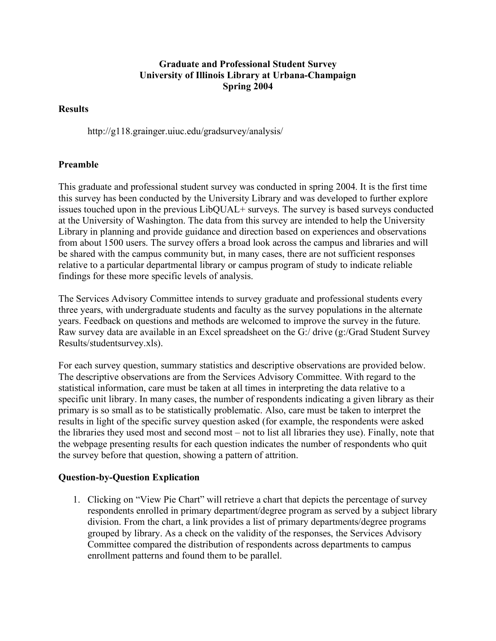## **Graduate and Professional Student Survey University of Illinois Library at Urbana-Champaign Spring 2004**

## **Results**

http://g118.grainger.uiuc.edu/gradsurvey/analysis/

## **Preamble**

This graduate and professional student survey was conducted in spring 2004. It is the first time this survey has been conducted by the University Library and was developed to further explore issues touched upon in the previous LibQUAL+ surveys. The survey is based surveys conducted at the University of Washington. The data from this survey are intended to help the University Library in planning and provide guidance and direction based on experiences and observations from about 1500 users. The survey offers a broad look across the campus and libraries and will be shared with the campus community but, in many cases, there are not sufficient responses relative to a particular departmental library or campus program of study to indicate reliable findings for these more specific levels of analysis.

The Services Advisory Committee intends to survey graduate and professional students every three years, with undergraduate students and faculty as the survey populations in the alternate years. Feedback on questions and methods are welcomed to improve the survey in the future. Raw survey data are available in an Excel spreadsheet on the G:/ drive (g:/Grad Student Survey Results/studentsurvey.xls).

For each survey question, summary statistics and descriptive observations are provided below. The descriptive observations are from the Services Advisory Committee. With regard to the statistical information, care must be taken at all times in interpreting the data relative to a specific unit library. In many cases, the number of respondents indicating a given library as their primary is so small as to be statistically problematic. Also, care must be taken to interpret the results in light of the specific survey question asked (for example, the respondents were asked the libraries they used most and second most – not to list all libraries they use). Finally, note that the webpage presenting results for each question indicates the number of respondents who quit the survey before that question, showing a pattern of attrition.

## **Question-by-Question Explication**

1. Clicking on "View Pie Chart" will retrieve a chart that depicts the percentage of survey respondents enrolled in primary department/degree program as served by a subject library division. From the chart, a link provides a list of primary departments/degree programs grouped by library. As a check on the validity of the responses, the Services Advisory Committee compared the distribution of respondents across departments to campus enrollment patterns and found them to be parallel.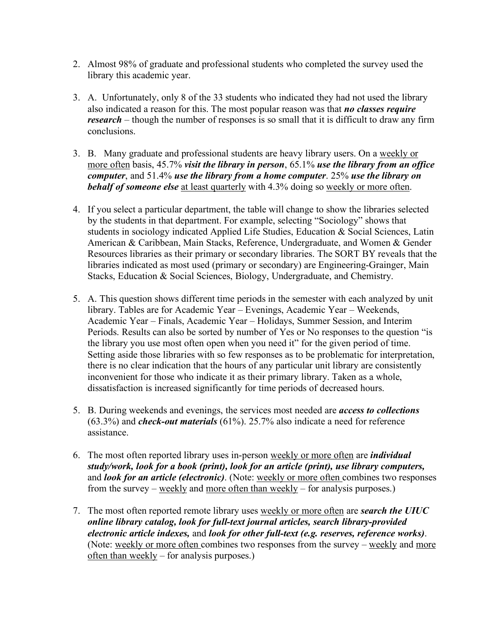- 2. Almost 98% of graduate and professional students who completed the survey used the library this academic year.
- 3. A. Unfortunately, only 8 of the 33 students who indicated they had not used the library also indicated a reason for this. The most popular reason was that *no classes require research* – though the number of responses is so small that it is difficult to draw any firm conclusions.
- 3. B. Many graduate and professional students are heavy library users. On a weekly or more often basis, 45.7% *visit the library in person*, 65.1% *use the library from an office computer*, and 51.4% *use the library from a home computer*. 25% *use the library on behalf of someone else* at least quarterly with 4.3% doing so weekly or more often.
- 4. If you select a particular department, the table will change to show the libraries selected by the students in that department. For example, selecting "Sociology" shows that students in sociology indicated Applied Life Studies, Education & Social Sciences, Latin American & Caribbean, Main Stacks, Reference, Undergraduate, and Women & Gender Resources libraries as their primary or secondary libraries. The SORT BY reveals that the libraries indicated as most used (primary or secondary) are Engineering-Grainger, Main Stacks, Education & Social Sciences, Biology, Undergraduate, and Chemistry.
- 5. A. This question shows different time periods in the semester with each analyzed by unit library. Tables are for Academic Year – Evenings, Academic Year – Weekends, Academic Year – Finals, Academic Year – Holidays, Summer Session, and Interim Periods. Results can also be sorted by number of Yes or No responses to the question "is the library you use most often open when you need it" for the given period of time. Setting aside those libraries with so few responses as to be problematic for interpretation, there is no clear indication that the hours of any particular unit library are consistently inconvenient for those who indicate it as their primary library. Taken as a whole, dissatisfaction is increased significantly for time periods of decreased hours.
- 5. B. During weekends and evenings, the services most needed are *access to collections* (63.3%) and *check-out materials* (61%). 25.7% also indicate a need for reference assistance.
- 6. The most often reported library uses in-person weekly or more often are *individual study/work, look for a book (print), look for an article (print), use library computers,* and *look for an article (electronic)*. (Note: weekly or more often combines two responses from the survey – weekly and more often than weekly – for analysis purposes.)
- 7. The most often reported remote library uses weekly or more often are *search the UIUC online library catalog, look for full-text journal articles, search library-provided electronic article indexes,* and *look for other full-text (e.g. reserves, reference works)*. (Note: weekly or more often combines two responses from the survey – weekly and more often than weekly – for analysis purposes.)